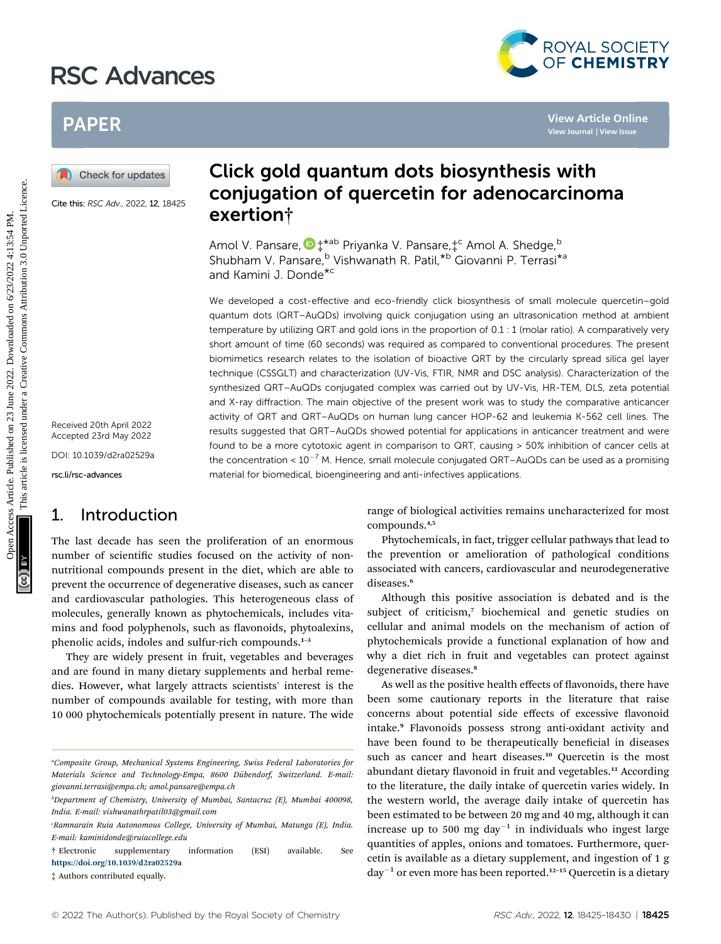# RSC Advances



## PAPER

Cite this: RSC Adv., 2022, 12, 18425

Received 20th April 2022 Accepted 23rd May 2022 DOI: 10.1039/d2ra02529a rsc.li/rsc-advances

## 1. Introduction

The last decade has seen the proliferation of an enormous number of scientific studies focused on the activity of nonnutritional compounds present in the diet, which are able to prevent the occurrence of degenerative diseases, such as cancer and cardiovascular pathologies. This heterogeneous class of molecules, generally known as phytochemicals, includes vitamins and food polyphenols, such as flavonoids, phytoalexins, phenolic acids, indoles and sulfur-rich compounds.<sup>1-3</sup>

They are widely present in fruit, vegetables and beverages and are found in many dietary supplements and herbal remedies. However, what largely attracts scientists' interest is the number of compounds available for testing, with more than 10 000 phytochemicals potentially present in nature. The wide

## Click gold quantum dots biosynthesis with conjugation of quercetin for adenocarcinoma exertion†

Amol V. Pansare,  $\mathbf{D}$   $\sharp$ \*<sup>ab</sup> Priyanka V. Pansare, $\sharp$ <sup>c</sup> Amol A. Shedge, <sup>b</sup> Shubham V. Pansare,<sup>b</sup> Vishwanath R. Patil,<sup>\*b</sup> Giovanni P. Terrasi<sup>\*a</sup> and Kamini J. Donde\*<sup>c</sup>

We developed a cost-effective and eco-friendly click biosynthesis of small molecule quercetin–gold quantum dots (QRT–AuQDs) involving quick conjugation using an ultrasonication method at ambient temperature by utilizing QRT and gold ions in the proportion of 0.1 : 1 (molar ratio). A comparatively very short amount of time (60 seconds) was required as compared to conventional procedures. The present biomimetics research relates to the isolation of bioactive QRT by the circularly spread silica gel layer technique (CSSGLT) and characterization (UV-Vis, FTIR, NMR and DSC analysis). Characterization of the synthesized QRT–AuQDs conjugated complex was carried out by UV-Vis, HR-TEM, DLS, zeta potential and X-ray diffraction. The main objective of the present work was to study the comparative anticancer activity of QRT and QRT–AuQDs on human lung cancer HOP-62 and leukemia K-562 cell lines. The results suggested that QRT–AuQDs showed potential for applications in anticancer treatment and were found to be a more cytotoxic agent in comparison to QRT, causing > 50% inhibition of cancer cells at the concentration <  $10^{-7}$  M. Hence, small molecule conjugated QRT–AuQDs can be used as a promising material for biomedical, bioengineering and anti-infectives applications. **PAPER**<br> **(a)** Check for undates<br>
Core the *next cap,* 2022 1943<br>
Core the *next cap,* 2022 1943<br>
Core the *next cap,* 2022 1943<br>
Core the *next cap,* 2022 1943<br>
Core the *next cap,* 2022 1943<br>
Core the *next cap,* 2022 2

range of biological activities remains uncharacterized for most compounds.4,5

Phytochemicals, in fact, trigger cellular pathways that lead to the prevention or amelioration of pathological conditions associated with cancers, cardiovascular and neurodegenerative diseases.<sup>6</sup>

Although this positive association is debated and is the subject of criticism,7 biochemical and genetic studies on cellular and animal models on the mechanism of action of phytochemicals provide a functional explanation of how and why a diet rich in fruit and vegetables can protect against degenerative diseases.<sup>8</sup>

As well as the positive health effects of flavonoids, there have been some cautionary reports in the literature that raise concerns about potential side effects of excessive flavonoid intake.<sup>9</sup> Flavonoids possess strong anti-oxidant activity and have been found to be therapeutically beneficial in diseases such as cancer and heart diseases.<sup>10</sup> Quercetin is the most abundant dietary flavonoid in fruit and vegetables.<sup>11</sup> According to the literature, the daily intake of quercetin varies widely. In the western world, the average daily intake of quercetin has been estimated to be between 20 mg and 40 mg, although it can increase up to 500 mg day<sup>-1</sup> in individuals who ingest large quantities of apples, onions and tomatoes. Furthermore, quercetin is available as a dietary supplement, and ingestion of 1 g  $day^{-1}$  or even more has been reported.<sup>12-15</sup> Quercetin is a dietary

a Composite Group, Mechanical Systems Engineering, Swiss Federal Laboratories for Materials Science and Technology-Empa, 8600 Dübendorf, Switzerland. E-mail: giovanni.terrasi@empa.ch; amol.pansare@empa.ch

b Department of Chemistry, University of Mumbai, Santacruz (E), Mumbai 400098, India. E-mail: vishwanathrpatil03@gmail.com

c Ramnarain Ruia Autonomous College, University of Mumbai, Matunga (E), India. E-mail: kaminidonde@ruiacollege.edu

<sup>†</sup> Electronic supplementary information (ESI) available. See <https://doi.org/10.1039/d2ra02529a>

<sup>‡</sup> Authors contributed equally.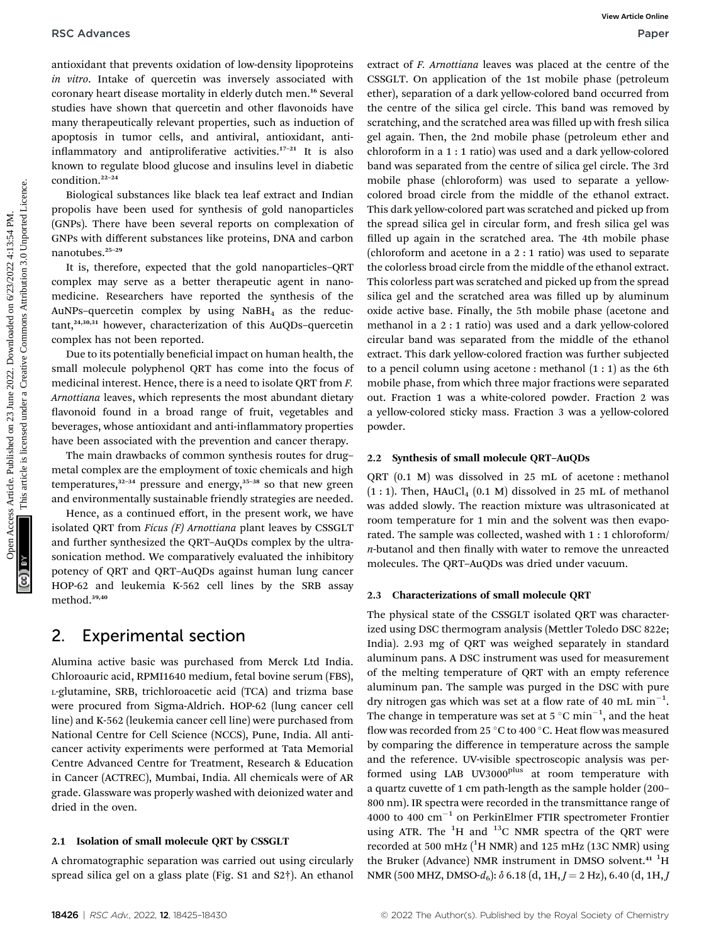antioxidant that prevents oxidation of low-density lipoproteins in vitro. Intake of quercetin was inversely associated with coronary heart disease mortality in elderly dutch men.<sup>16</sup> Several studies have shown that quercetin and other flavonoids have many therapeutically relevant properties, such as induction of apoptosis in tumor cells, and antiviral, antioxidant, antiinflammatory and antiproliferative activities. $17-21$  It is also known to regulate blood glucose and insulins level in diabetic condition.<sup>22</sup>–<sup>24</sup>

Biological substances like black tea leaf extract and Indian propolis have been used for synthesis of gold nanoparticles (GNPs). There have been several reports on complexation of GNPs with different substances like proteins, DNA and carbon nanotubes.<sup>25</sup>–<sup>29</sup>

It is, therefore, expected that the gold nanoparticles–QRT complex may serve as a better therapeutic agent in nanomedicine. Researchers have reported the synthesis of the AuNPs-quercetin complex by using  $N$ aBH<sub>4</sub> as the reduc $tant$ ,<sup>24,30,31</sup> however, characterization of this AuQDs-quercetin complex has not been reported.

Due to its potentially beneficial impact on human health, the small molecule polyphenol QRT has come into the focus of medicinal interest. Hence, there is a need to isolate QRT from F. Arnottiana leaves, which represents the most abundant dietary flavonoid found in a broad range of fruit, vegetables and beverages, whose antioxidant and anti-inflammatory properties have been associated with the prevention and cancer therapy.

The main drawbacks of common synthesis routes for drug– metal complex are the employment of toxic chemicals and high temperatures, $32-34$  pressure and energy, $35-38$  so that new green and environmentally sustainable friendly strategies are needed.

Hence, as a continued effort, in the present work, we have isolated QRT from *Ficus*  $(F)$  Arnottiana plant leaves by CSSGLT and further synthesized the QRT–AuQDs complex by the ultrasonication method. We comparatively evaluated the inhibitory potency of QRT and QRT–AuQDs against human lung cancer HOP-62 and leukemia K-562 cell lines by the SRB assay method.39,40

## 2. Experimental section

Alumina active basic was purchased from Merck Ltd India. Chloroauric acid, RPMI1640 medium, fetal bovine serum (FBS), L-glutamine, SRB, trichloroacetic acid (TCA) and trizma base were procured from Sigma-Aldrich. HOP-62 (lung cancer cell line) and K-562 (leukemia cancer cell line) were purchased from National Centre for Cell Science (NCCS), Pune, India. All anticancer activity experiments were performed at Tata Memorial Centre Advanced Centre for Treatment, Research & Education in Cancer (ACTREC), Mumbai, India. All chemicals were of AR grade. Glassware was properly washed with deionized water and dried in the oven.

### 2.1 Isolation of small molecule QRT by CSSGLT

A chromatographic separation was carried out using circularly spread silica gel on a glass plate (Fig. S1 and S2†). An ethanol

extract of F. Arnottiana leaves was placed at the centre of the CSSGLT. On application of the 1st mobile phase (petroleum ether), separation of a dark yellow-colored band occurred from the centre of the silica gel circle. This band was removed by scratching, and the scratched area was filled up with fresh silica gel again. Then, the 2nd mobile phase (petroleum ether and chloroform in a 1 : 1 ratio) was used and a dark yellow-colored band was separated from the centre of silica gel circle. The 3rd mobile phase (chloroform) was used to separate a yellowcolored broad circle from the middle of the ethanol extract. This dark yellow-colored part was scratched and picked up from the spread silica gel in circular form, and fresh silica gel was filled up again in the scratched area. The 4th mobile phase (chloroform and acetone in a 2 : 1 ratio) was used to separate the colorless broad circle from the middle of the ethanol extract. This colorless part was scratched and picked up from the spread silica gel and the scratched area was filled up by aluminum oxide active base. Finally, the 5th mobile phase (acetone and methanol in a 2 : 1 ratio) was used and a dark yellow-colored circular band was separated from the middle of the ethanol extract. This dark yellow-colored fraction was further subjected to a pencil column using acetone : methanol  $(1:1)$  as the 6th mobile phase, from which three major fractions were separated out. Fraction 1 was a white-colored powder. Fraction 2 was a yellow-colored sticky mass. Fraction 3 was a yellow-colored powder. RSC Advances<br>
antioxidation of low-density liappoints access Article is entropy associated on 5/2007. On application of the 14 molecula published on 2021<br>
or since it generalized with the components are the components are

## 2.2 Synthesis of small molecule QRT–AuQDs

QRT (0.1 M) was dissolved in 25 mL of acetone : methanol  $(1:1)$ . Then, HAuCl<sub>4</sub>  $(0.1 \text{ M})$  dissolved in 25 mL of methanol was added slowly. The reaction mixture was ultrasonicated at room temperature for 1 min and the solvent was then evaporated. The sample was collected, washed with 1 : 1 chloroform/  $n$ -butanol and then finally with water to remove the unreacted molecules. The QRT–AuQDs was dried under vacuum.

### 2.3 Characterizations of small molecule QRT

The physical state of the CSSGLT isolated QRT was characterized using DSC thermogram analysis (Mettler Toledo DSC 822e; India). 2.93 mg of QRT was weighed separately in standard aluminum pans. A DSC instrument was used for measurement of the melting temperature of QRT with an empty reference aluminum pan. The sample was purged in the DSC with pure dry nitrogen gas which was set at a flow rate of 40 mL  $min^{-1}$ . The change in temperature was set at 5  $^{\circ} \mathrm{C}$  min $^{-1}$ , and the heat flow was recorded from 25 °C to 400 °C. Heat flow was measured by comparing the difference in temperature across the sample and the reference. UV-visible spectroscopic analysis was performed using LAB UV3000<sup>plus</sup> at room temperature with a quartz cuvette of 1 cm path-length as the sample holder (200– 800 nm). IR spectra were recorded in the transmittance range of 4000 to 400  $\text{cm}^{-1}$  on PerkinElmer FTIR spectrometer Frontier using ATR. The  ${}^{1}H$  and  ${}^{13}C$  NMR spectra of the QRT were recorded at 500 mHz  $(^{1}H$  NMR) and 125 mHz (13C NMR) using the Bruker (Advance) NMR instrument in DMSO solvent.<sup>41</sup> <sup>1</sup>H NMR (500 MHZ, DMSO- $d_6$ ):  $\delta$  6.18 (d, 1H,  $J = 2$  Hz), 6.40 (d, 1H,  $J$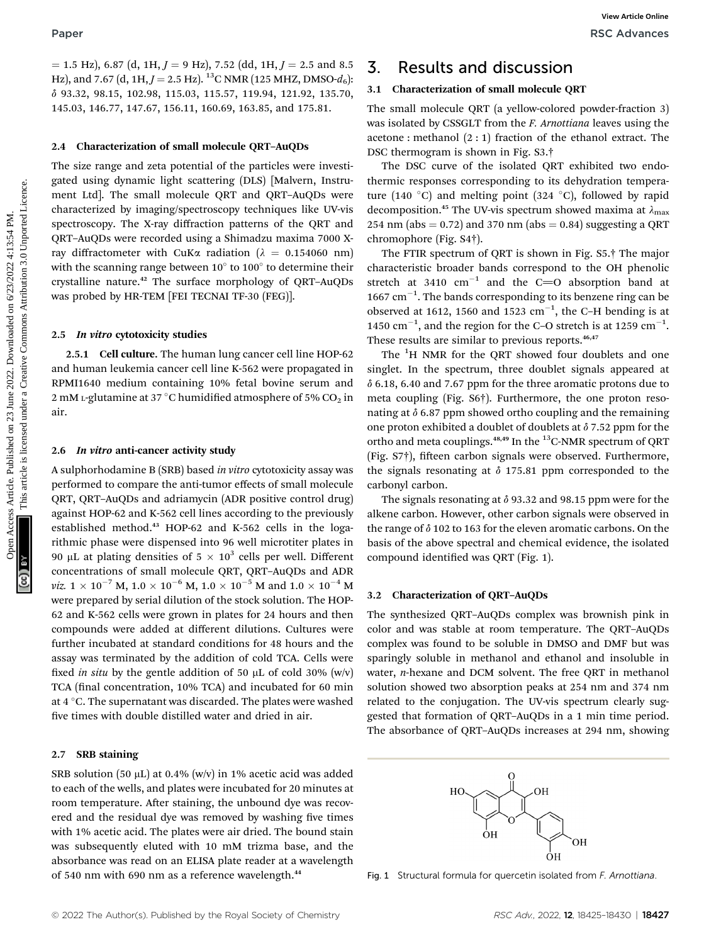$=$  1.5 Hz), 6.87 (d, 1H,  $J = 9$  Hz), 7.52 (dd, 1H,  $J = 2.5$  and 8.5 Hz), and 7.67 (d, 1H,  $J = 2.5$  Hz). <sup>13</sup>C NMR (125 MHZ, DMSO- $d_6$ ): d 93.32, 98.15, 102.98, 115.03, 115.57, 119.94, 121.92, 135.70, 145.03, 146.77, 147.67, 156.11, 160.69, 163.85, and 175.81.

#### 2.4 Characterization of small molecule QRT–AuQDs

The size range and zeta potential of the particles were investigated using dynamic light scattering (DLS) [Malvern, Instrument Ltd]. The small molecule QRT and QRT–AuQDs were characterized by imaging/spectroscopy techniques like UV-vis spectroscopy. The X-ray diffraction patterns of the QRT and QRT–AuQDs were recorded using a Shimadzu maxima 7000 Xray diffractometer with CuKa radiation ( $\lambda = 0.154060$  nm) with the scanning range between  $10^{\circ}$  to  $100^{\circ}$  to determine their crystalline nature.<sup>42</sup> The surface morphology of QRT–AuQDs was probed by HR-TEM [FEI TECNAI TF-30 (FEG)]. Paper<br>  $\frac{1}{2}$  SC Advances<br>  $\frac{1}{2}$  SC Articles. Articles. Published on 2022. Downloaded on 2022. Downloaded on 2022. Downloaded on 2022. Downloaded on 2022. Details. Published on 2022. Details are common 2022. This a

#### 2.5 In vitro cytotoxicity studies

2.5.1 Cell culture. The human lung cancer cell line HOP-62 and human leukemia cancer cell line K-562 were propagated in RPMI1640 medium containing 10% fetal bovine serum and 2 mM L-glutamine at 37 °C humidified atmosphere of 5%  $CO<sub>2</sub>$  in air.

#### 2.6 In vitro anti-cancer activity study

A sulphorhodamine B (SRB) based in vitro cytotoxicity assay was performed to compare the anti-tumor effects of small molecule QRT, QRT–AuQDs and adriamycin (ADR positive control drug) against HOP-62 and K-562 cell lines according to the previously established method.<sup>43</sup> HOP-62 and K-562 cells in the logarithmic phase were dispensed into 96 well microtiter plates in 90 µL at plating densities of  $5 \times 10^3$  cells per well. Different concentrations of small molecule QRT, QRT–AuQDs and ADR *viz.*  $1 \times 10^{-7}$  M,  $1.0 \times 10^{-6}$  M,  $1.0 \times 10^{-5}$  M and  $1.0 \times 10^{-4}$  M were prepared by serial dilution of the stock solution. The HOP-62 and K-562 cells were grown in plates for 24 hours and then compounds were added at different dilutions. Cultures were further incubated at standard conditions for 48 hours and the assay was terminated by the addition of cold TCA. Cells were fixed in situ by the gentle addition of 50  $\mu$ L of cold 30% (w/v) TCA (final concentration, 10% TCA) and incubated for 60 min at 4 °C. The supernatant was discarded. The plates were washed five times with double distilled water and dried in air.

#### 2.7 SRB staining

SRB solution (50  $\mu$ L) at 0.4% (w/v) in 1% acetic acid was added to each of the wells, and plates were incubated for 20 minutes at room temperature. After staining, the unbound dye was recovered and the residual dye was removed by washing five times with 1% acetic acid. The plates were air dried. The bound stain was subsequently eluted with 10 mM trizma base, and the absorbance was read on an ELISA plate reader at a wavelength of 540 nm with 690 nm as a reference wavelength.<sup>44</sup>

## 3. Results and discussion

#### 3.1 Characterization of small molecule QRT

The small molecule QRT (a yellow-colored powder-fraction 3) was isolated by CSSGLT from the *F. Arnottiana* leaves using the acetone : methanol (2 : 1) fraction of the ethanol extract. The DSC thermogram is shown in Fig. S3.†

The DSC curve of the isolated QRT exhibited two endothermic responses corresponding to its dehydration temperature (140 °C) and melting point (324 °C), followed by rapid decomposition.<sup>45</sup> The UV-vis spectrum showed maxima at  $\lambda_{\text{max}}$ 254 nm (abs  $= 0.72$ ) and 370 nm (abs  $= 0.84$ ) suggesting a QRT chromophore (Fig. S4†).

The FTIR spectrum of QRT is shown in Fig. S5.† The major characteristic broader bands correspond to the OH phenolic stretch at 3410  $cm^{-1}$  and the C=O absorption band at  $1667$   $cm^{-1}$ . The bands corresponding to its benzene ring can be observed at 1612, 1560 and 1523  $cm^{-1}$ , the C-H bending is at 1450  $\text{cm}^{-1}$ , and the region for the C-O stretch is at 1259  $\text{cm}^{-1}$ . These results are similar to previous reports.<sup>46,47</sup>

The <sup>1</sup>H NMR for the QRT showed four doublets and one singlet. In the spectrum, three doublet signals appeared at  $\delta$  6.18, 6.40 and 7.67 ppm for the three aromatic protons due to meta coupling (Fig. S6†). Furthermore, the one proton resonating at  $\delta$  6.87 ppm showed ortho coupling and the remaining one proton exhibited a doublet of doublets at  $\delta$  7.52 ppm for the ortho and meta couplings.<sup>48,49</sup> In the <sup>13</sup>C-NMR spectrum of QRT (Fig. S7†), fifteen carbon signals were observed. Furthermore, the signals resonating at  $\delta$  175.81 ppm corresponded to the carbonyl carbon.

The signals resonating at  $\delta$  93.32 and 98.15 ppm were for the alkene carbon. However, other carbon signals were observed in the range of  $\delta$  102 to 163 for the eleven aromatic carbons. On the basis of the above spectral and chemical evidence, the isolated compound identified was QRT (Fig. 1).

#### 3.2 Characterization of QRT–AuQDs

The synthesized QRT–AuQDs complex was brownish pink in color and was stable at room temperature. The QRT–AuQDs complex was found to be soluble in DMSO and DMF but was sparingly soluble in methanol and ethanol and insoluble in water, n-hexane and DCM solvent. The free QRT in methanol solution showed two absorption peaks at 254 nm and 374 nm related to the conjugation. The UV-vis spectrum clearly suggested that formation of QRT–AuQDs in a 1 min time period. The absorbance of QRT–AuQDs increases at 294 nm, showing



Fig. 1 Structural formula for quercetin isolated from F. Arnottiana.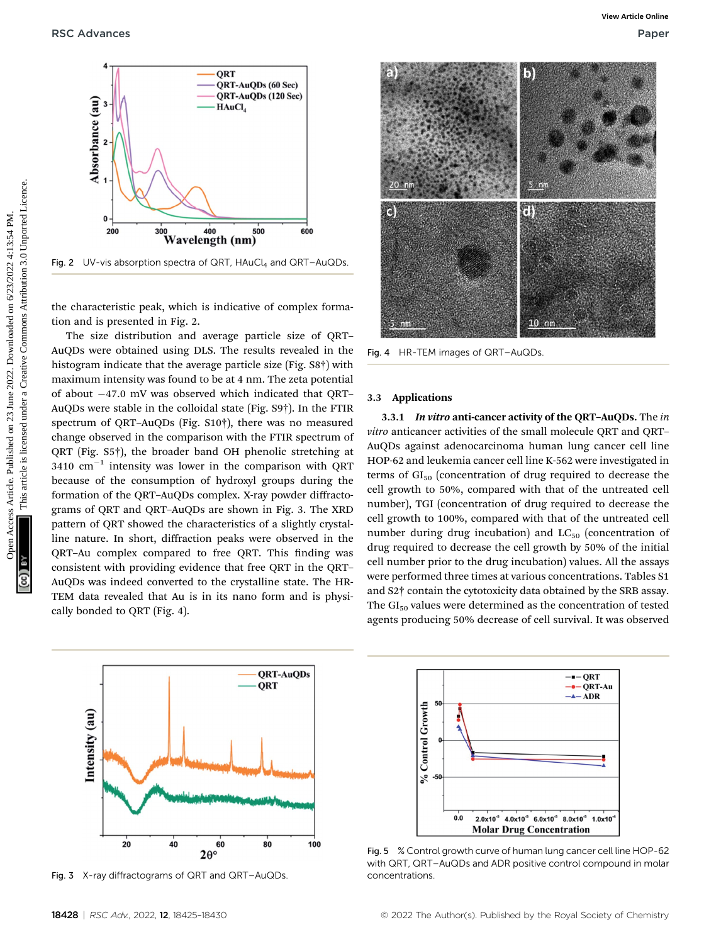RSC Advances **Paper** Paper **Paper Paper Paper Paper Paper Paper Paper Paper Paper Paper Paper Paper Paper Paper** 



Fig. 2 UV-vis absorption spectra of QRT,  $HAuCl<sub>4</sub>$  and QRT–AuQDs.

the characteristic peak, which is indicative of complex formation and is presented in Fig. 2.

The size distribution and average particle size of QRT– AuQDs were obtained using DLS. The results revealed in the histogram indicate that the average particle size (Fig. S8†) with maximum intensity was found to be at 4 nm. The zeta potential of about  $-47.0$  mV was observed which indicated that QRT– AuQDs were stable in the colloidal state (Fig. S9†). In the FTIR spectrum of QRT–AuQDs (Fig. S10†), there was no measured change observed in the comparison with the FTIR spectrum of QRT (Fig. S5†), the broader band OH phenolic stretching at  $3410$  cm<sup>-1</sup> intensity was lower in the comparison with QRT because of the consumption of hydroxyl groups during the formation of the QRT–AuQDs complex. X-ray powder diffractograms of QRT and QRT–AuQDs are shown in Fig. 3. The XRD pattern of QRT showed the characteristics of a slightly crystalline nature. In short, diffraction peaks were observed in the QRT-Au complex compared to free QRT. This finding was consistent with providing evidence that free QRT in the QRT– AuQDs was indeed converted to the crystalline state. The HR-TEM data revealed that Au is in its nano form and is physically bonded to QRT (Fig. 4).



Fig. 3 X-ray diffractograms of QRT and QRT–AuQDs.



Fig. 4 HR-TEM images of QRT–AuQDs.

#### 3.3 Applications

3.3.1 In vitro anti-cancer activity of the QRT-AuQDs. The in vitro anticancer activities of the small molecule QRT and QRT– AuQDs against adenocarcinoma human lung cancer cell line HOP-62 and leukemia cancer cell line K-562 were investigated in terms of  $GI<sub>50</sub>$  (concentration of drug required to decrease the cell growth to 50%, compared with that of the untreated cell number), TGI (concentration of drug required to decrease the cell growth to 100%, compared with that of the untreated cell number during drug incubation) and  $LC_{50}$  (concentration of drug required to decrease the cell growth by 50% of the initial cell number prior to the drug incubation) values. All the assays were performed three times at various concentrations. Tables S1 and S2† contain the cytotoxicity data obtained by the SRB assay. The  $GI<sub>50</sub>$  values were determined as the concentration of tested agents producing 50% decrease of cell survival. It was observed



Fig. 5 % Control growth curve of human lung cancer cell line HOP-62 with QRT, QRT–AuQDs and ADR positive control compound in molar concentrations.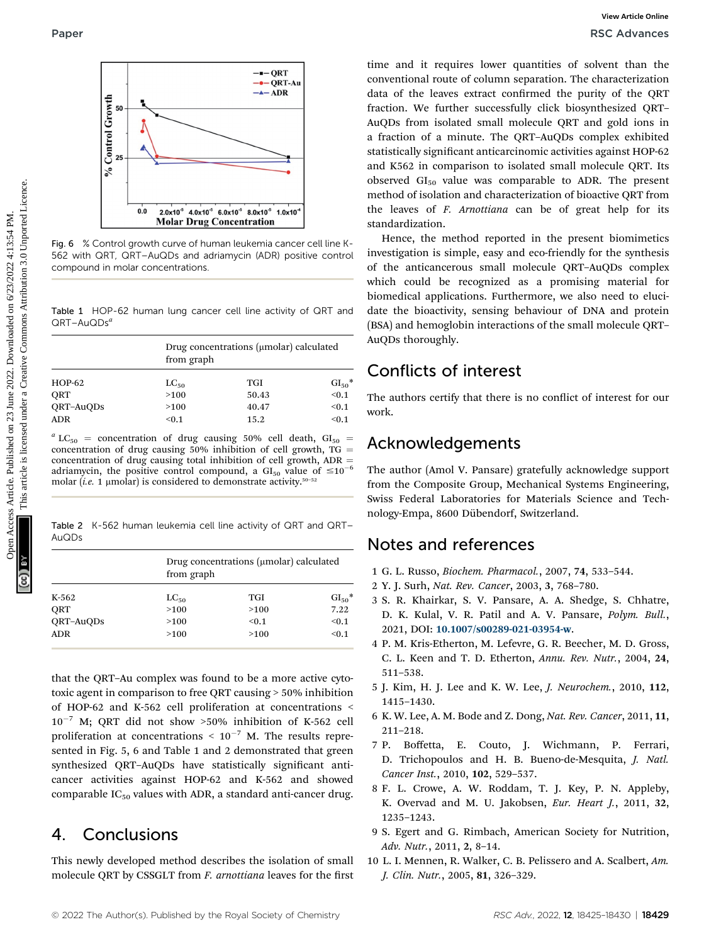

Fig. 6 % Control growth curve of human leukemia cancer cell line K-562 with QRT, QRT–AuQDs and adriamycin (ADR) positive control compound in molar concentrations.

Table 1 HOP-62 human lung cancer cell line activity of QRT and  $QRT$ –Au $QDs^a$ 

| $HOP-62$   | Drug concentrations (µmolar) calculated<br>from graph |            |          |
|------------|-------------------------------------------------------|------------|----------|
|            | $LC_{50}$                                             | <b>TGI</b> | $GI50$ * |
| ORT        | >100                                                  | 50.43      | < 0.1    |
| QRT-AuQDs  | >100                                                  | 40.47      | < 0.1    |
| <b>ADR</b> | < 0.1                                                 | 15.2       | < 0.1    |

 $a$  LC<sub>50</sub> = concentration of drug causing 50% cell death, GI<sub>50</sub> = concentration of drug causing  $50\%$  inhibition of cell growth, TG = concentration of drug causing total inhibition of cell growth,  $ADR =$ adriamycin, the positive control compound, a  $GI_{50}$  value of  $\leq 10^{-6}$ molar (*i.e.* 1 µmolar) is considered to demonstrate activity.<sup>50-52</sup>

Table 2 K-562 human leukemia cell line activity of QRT and QRT– AuQDs

| K-562      | Drug concentrations (µmolar) calculated<br>from graph |       |          |
|------------|-------------------------------------------------------|-------|----------|
|            | $LC_{50}$                                             | TGI   | $GI50$ * |
| ORT        | >100                                                  | >100  | 7.22     |
| QRT-AuQDs  | >100                                                  | < 0.1 | < 0.1    |
| <b>ADR</b> | >100                                                  | >100  | < 0.1    |

that the QRT–Au complex was found to be a more active cytotoxic agent in comparison to free QRT causing > 50% inhibition of HOP-62 and K-562 cell proliferation at concentrations <  $10^{-7}$  M; QRT did not show >50% inhibition of K-562 cell proliferation at concentrations  $\leq 10^{-7}$  M. The results represented in Fig. 5, 6 and Table 1 and 2 demonstrated that green synthesized QRT-AuQDs have statistically significant anticancer activities against HOP-62 and K-562 and showed comparable  $IC_{50}$  values with ADR, a standard anti-cancer drug.

## 4. Conclusions

This newly developed method describes the isolation of small molecule QRT by CSSGLT from F. arnottiana leaves for the first

time and it requires lower quantities of solvent than the conventional route of column separation. The characterization data of the leaves extract confirmed the purity of the QRT fraction. We further successfully click biosynthesized QRT– AuQDs from isolated small molecule QRT and gold ions in a fraction of a minute. The QRT–AuQDs complex exhibited statistically significant anticarcinomic activities against HOP-62 and K562 in comparison to isolated small molecule QRT. Its observed  $GI<sub>50</sub>$  value was comparable to ADR. The present method of isolation and characterization of bioactive QRT from the leaves of F. Arnottiana can be of great help for its standardization. Paper<br>  $\frac{4}{3}$ <br>  $\frac{4}{3}$ <br>  $\frac{4}{3}$ <br>  $\frac{4}{3}$ <br>  $\frac{4}{3}$ <br>  $\frac{4}{3}$ <br>  $\frac{4}{3}$ <br>  $\frac{4}{3}$ <br>  $\frac{4}{3}$ <br>  $\frac{4}{3}$ <br>  $\frac{4}{3}$ <br>  $\frac{4}{3}$ <br>  $\frac{4}{3}$ <br>  $\frac{4}{3}$ <br>  $\frac{4}{3}$ <br>  $\frac{4}{3}$ <br>  $\frac{4}{3}$ <br>  $\frac{4}{3}$ <br>  $\frac{4}{3}$ <br>  $\frac{4$ 

Hence, the method reported in the present biomimetics investigation is simple, easy and eco-friendly for the synthesis of the anticancerous small molecule QRT–AuQDs complex which could be recognized as a promising material for biomedical applications. Furthermore, we also need to elucidate the bioactivity, sensing behaviour of DNA and protein (BSA) and hemoglobin interactions of the small molecule QRT– AuQDs thoroughly.

## Conflicts of interest

The authors certify that there is no conflict of interest for our work.

## Acknowledgements

The author (Amol V. Pansare) gratefully acknowledge support from the Composite Group, Mechanical Systems Engineering, Swiss Federal Laboratories for Materials Science and Technology-Empa, 8600 Dübendorf, Switzerland.

## Notes and references

- 1 G. L. Russo, Biochem. Pharmacol., 2007, 74, 533–544.
- 2 Y. J. Surh, Nat. Rev. Cancer, 2003, 3, 768–780.
- 3 S. R. Khairkar, S. V. Pansare, A. A. Shedge, S. Chhatre, D. K. Kulal, V. R. Patil and A. V. Pansare, Polym. Bull., 2021, DOI: [10.1007/s00289-021-03954-w](https://doi.org/10.1007/s00289-021-03954-w).
- 4 P. M. Kris-Etherton, M. Lefevre, G. R. Beecher, M. D. Gross, C. L. Keen and T. D. Etherton, Annu. Rev. Nutr., 2004, 24, 511–538.
- 5 J. Kim, H. J. Lee and K. W. Lee, J. Neurochem., 2010, 112, 1415–1430.
- 6 K. W. Lee, A. M. Bode and Z. Dong, Nat. Rev. Cancer, 2011, 11, 211–218.
- 7 P. Boffetta, E. Couto, J. Wichmann, P. Ferrari, D. Trichopoulos and H. B. Bueno-de-Mesquita, J. Natl. Cancer Inst., 2010, 102, 529–537.
- 8 F. L. Crowe, A. W. Roddam, T. J. Key, P. N. Appleby, K. Overvad and M. U. Jakobsen, Eur. Heart J., 2011, 32, 1235–1243.
- 9 S. Egert and G. Rimbach, American Society for Nutrition, Adv. Nutr., 2011, 2, 8–14.
- 10 L. I. Mennen, R. Walker, C. B. Pelissero and A. Scalbert, Am. J. Clin. Nutr., 2005, 81, 326–329.